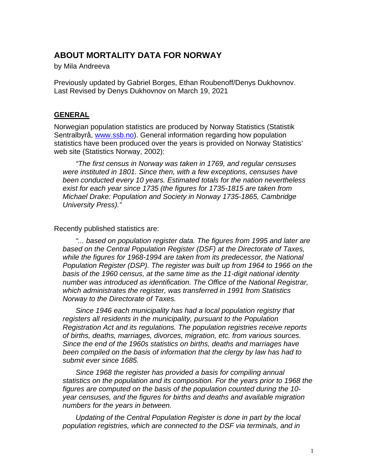## **ABOUT MORTALITY DATA FOR NORWAY**

by Mila Andreeva

Previously updated by Gabriel Borges, Ethan Roubenoff/Denys Dukhovnov. Last Revised by Denys Dukhovnov on March 19, 2021

### **GENERAL**

Norwegian population statistics are produced by Norway Statistics (Statistik Sentralbyrå, [www.ssb.no\)](http://www.ssb.no/). General information regarding how population statistics have been produced over the years is provided on Norway Statistics' web site (Statistics Norway, 2002):

*"The first census in Norway was taken in 1769, and regular censuses were instituted in 1801. Since then, with a few exceptions, censuses have been conducted every 10 years. Estimated totals for the nation nevertheless exist for each year since 1735 (the figures for 1735-1815 are taken from Michael Drake: Population and Society in Norway 1735-1865, Cambridge University Press)."*

Recently published statistics are:

*"... based on population register data. The figures from 1995 and later are based on the Central Population Register (DSF) at the Directorate of Taxes, while the figures for 1968-1994 are taken from its predecessor, the National Population Register (DSP). The register was built up from 1964 to 1966 on the basis of the 1960 census, at the same time as the 11-digit national identity number was introduced as identification. The Office of the National Registrar, which administrates the register, was transferred in 1991 from Statistics Norway to the Directorate of Taxes.*

*Since 1946 each municipality has had a local population registry that registers all residents in the municipality, pursuant to the Population Registration Act and its regulations. The population registries receive reports of births, deaths, marriages, divorces, migration, etc. from various sources. Since the end of the 1960s statistics on births, deaths and marriages have been compiled on the basis of information that the clergy by law has had to submit ever since 1685.*

*Since 1968 the register has provided a basis for compiling annual statistics on the population and its composition. For the years prior to 1968 the figures are computed on the basis of the population counted during the 10 year censuses, and the figures for births and deaths and available migration numbers for the years in between.*

*Updating of the Central Population Register is done in part by the local population registries, which are connected to the DSF via terminals, and in*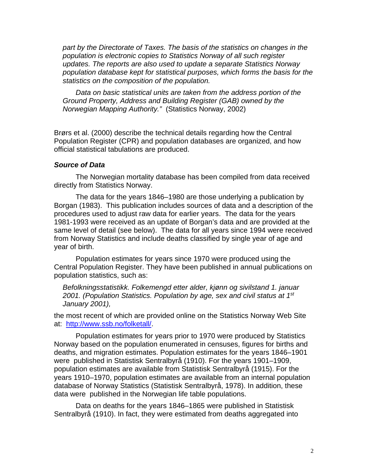*part by the Directorate of Taxes. The basis of the statistics on changes in the population is electronic copies to Statistics Norway of all such register updates. The reports are also used to update a separate Statistics Norway population database kept for statistical purposes, which forms the basis for the statistics on the composition of the population.*

*Data on basic statistical units are taken from the address portion of the Ground Property, Address and Building Register (GAB) owned by the Norwegian Mapping Authority."* (Statistics Norway, 2002)

Brørs et al. (2000) describe the technical details regarding how the Central Population Register (CPR) and population databases are organized, and how official statistical tabulations are produced.

#### *Source of Data*

The Norwegian mortality database has been compiled from data received directly from Statistics Norway.

The data for the years 1846–1980 are those underlying a publication by Borgan (1983). This publication includes sources of data and a description of the procedures used to adjust raw data for earlier years. The data for the years 1981-1993 were received as an update of Borgan's data and are provided at the same level of detail (see below). The data for all years since 1994 were received from Norway Statistics and include deaths classified by single year of age and year of birth.

Population estimates for years since 1970 were produced using the Central Population Register. They have been published in annual publications on population statistics, such as:

*Befolkningsstatistikk. Folkemengd etter alder, kjønn og sivilstand 1. januar 2001. (Population Statistics. Population by age, sex and civil status at 1st January 2001),*

the most recent of which are provided online on the Statistics Norway Web Site at: [http://www.ssb.no/folketall/.](http://www.ssb.no/folketall/)

Population estimates for years prior to 1970 were produced by Statistics Norway based on the population enumerated in censuses, figures for births and deaths, and migration estimates. Population estimates for the years 1846–1901 were published in Statistisk Sentralbyrå (1910). For the years 1901–1909, population estimates are available from Statistisk Sentralbyrå (1915). For the years 1910–1970, population estimates are available from an internal population database of Norway Statistics (Statistisk Sentralbyrå, 1978). In addition, these data were published in the Norwegian life table populations.

Data on deaths for the years 1846–1865 were published in Statistisk Sentralbyrå (1910). In fact, they were estimated from deaths aggregated into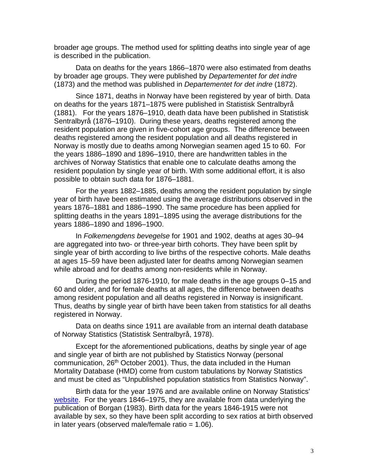broader age groups. The method used for splitting deaths into single year of age is described in the publication.

Data on deaths for the years 1866–1870 were also estimated from deaths by broader age groups. They were published by *Departementet for det indre* (1873) and the method was published in *Departementet for det indre* (1872).

Since 1871, deaths in Norway have been registered by year of birth. Data on deaths for the years 1871–1875 were published in Statistisk Sentralbyrå (1881). For the years 1876–1910, death data have been published in Statistisk Sentralbyrå (1876–1910). During these years, deaths registered among the resident population are given in five-cohort age groups. The difference between deaths registered among the resident population and all deaths registered in Norway is mostly due to deaths among Norwegian seamen aged 15 to 60. For the years 1886–1890 and 1896–1910, there are handwritten tables in the archives of Norway Statistics that enable one to calculate deaths among the resident population by single year of birth. With some additional effort, it is also possible to obtain such data for 1876–1881.

For the years 1882–1885, deaths among the resident population by single year of birth have been estimated using the average distributions observed in the years 1876–1881 and 1886–1990. The same procedure has been applied for splitting deaths in the years 1891–1895 using the average distributions for the years 1886–1890 and 1896–1900.

In *Folkemengdens bevegelse* for 1901 and 1902, deaths at ages 30–94 are aggregated into two- or three-year birth cohorts. They have been split by single year of birth according to live births of the respective cohorts. Male deaths at ages 15–59 have been adjusted later for deaths among Norwegian seamen while abroad and for deaths among non-residents while in Norway.

During the period 1876-1910, for male deaths in the age groups 0–15 and 60 and older, and for female deaths at all ages, the difference between deaths among resident population and all deaths registered in Norway is insignificant. Thus, deaths by single year of birth have been taken from statistics for all deaths registered in Norway.

Data on deaths since 1911 are available from an internal death database of Norway Statistics (Statistisk Sentralbyrå, 1978).

Except for the aforementioned publications, deaths by single year of age and single year of birth are not published by Statistics Norway (personal communication, 26<sup>th</sup> October 2001). Thus, the data included in the Human Mortality Database (HMD) come from custom tabulations by Norway Statistics and must be cited as "Unpublished population statistics from Statistics Norway".

Birth data for the year 1976 and are available online on Norway Statistics' [website.](http://www.ssb.no/english/) For the years 1846–1975, they are available from data underlying the publication of Borgan (1983). Birth data for the years 1846-1915 were not available by sex, so they have been split according to sex ratios at birth observed in later years (observed male/female ratio  $= 1.06$ ).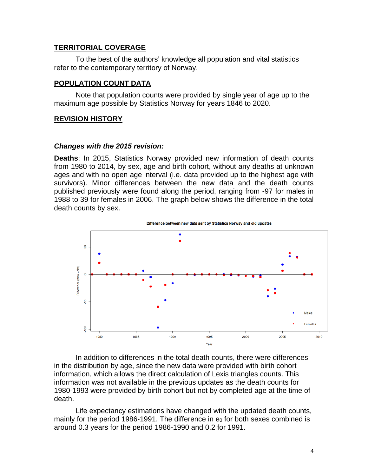### **TERRITORIAL COVERAGE**

To the best of the authors' knowledge all population and vital statistics refer to the contemporary territory of Norway.

### **POPULATION COUNT DATA**

Note that population counts were provided by single year of age up to the maximum age possible by Statistics Norway for years 1846 to 2020.

#### **REVISION HISTORY**

#### *Changes with the 2015 revision:*

**Deaths**: In 2015, Statistics Norway provided new information of death counts from 1980 to 2014, by sex, age and birth cohort, without any deaths at unknown ages and with no open age interval (i.e. data provided up to the highest age with survivors). Minor differences between the new data and the death counts published previously were found along the period, ranging from -97 for males in 1988 to 39 for females in 2006. The graph below shows the difference in the total death counts by sex.



In addition to differences in the total death counts, there were differences in the distribution by age, since the new data were provided with birth cohort information, which allows the direct calculation of Lexis triangles counts. This information was not available in the previous updates as the death counts for 1980-1993 were provided by birth cohort but not by completed age at the time of death.

Life expectancy estimations have changed with the updated death counts, mainly for the period 1986-1991. The difference in  $e_0$  for both sexes combined is around 0.3 years for the period 1986-1990 and 0.2 for 1991.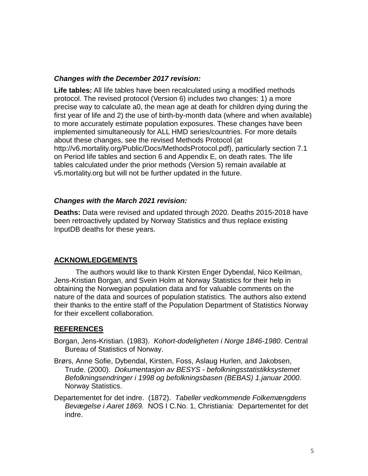### *Changes with the December 2017 revision:*

**Life tables:** All life tables have been recalculated using a modified methods protocol. The revised protocol (Version 6) includes two changes: 1) a more precise way to calculate a0, the mean age at death for children dying during the first year of life and 2) the use of birth-by-month data (where and when available) to more accurately estimate population exposures. These changes have been implemented simultaneously for ALL HMD series/countries. For more details about these changes, see the revised Methods Protocol (at http://v6.mortality.org/Public/Docs/MethodsProtocol.pdf), particularly section 7.1 on Period life tables and section 6 and Appendix E, on death rates. The life tables calculated under the prior methods (Version 5) remain available at v5.mortality.org but will not be further updated in the future.

#### *Changes with the March 2021 revision:*

**Deaths:** Data were revised and updated through 2020. Deaths 2015-2018 have been retroactively updated by Norway Statistics and thus replace existing InputDB deaths for these years.

### **ACKNOWLEDGEMENTS**

The authors would like to thank Kirsten Enger Dybendal, Nico Keilman, Jens-Kristian Borgan, and Svein Holm at Norway Statistics for their help in obtaining the Norwegian population data and for valuable comments on the nature of the data and sources of population statistics. The authors also extend their thanks to the entire staff of the Population Department of Statistics Norway for their excellent collaboration.

### **REFERENCES**

- Borgan, Jens-Kristian. (1983). *Kohort-dodeligheten i Norge 1846-1980*. Central Bureau of Statistics of Norway.
- Brørs, Anne Sofie, Dybendal, Kirsten, Foss, Aslaug Hurlen, and Jakobsen, Trude. (2000). *Dokumentasjon av BESYS - befolkningsstatistikksystemet Befolkningsendringer i 1998 og befolkningsbasen (BEBAS) 1.januar 2000*. Norway Statistics.
- Departementet for det indre. (1872). *Tabeller vedkommende Folkemængdens Bevægelse i Aaret 1869.* NOS I C.No. 1, Christiania: Departementet for det indre.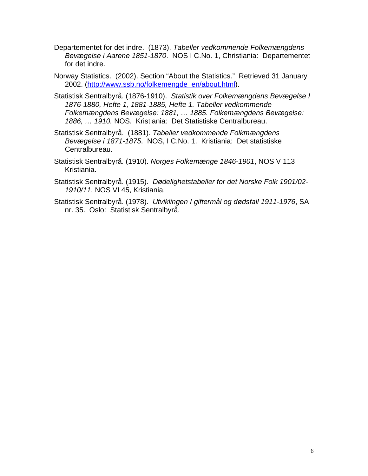Departementet for det indre. (1873). *Tabeller vedkommende Folkemængdens Bevægelse i Aarene 1851-1870*. NOS I C.No. 1, Christiania: Departementet for det indre.

Norway Statistics. (2002). Section "About the Statistics." Retrieved 31 January 2002. [\(http://www.ssb.no/folkemengde\\_en/about.html\)](http://www.ssb.no/folkemengde_en/about.html).

- Statistisk Sentralbyrå. (1876-1910). *Statistik over Folkemængdens Bevægelse I 1876-1880, Hefte 1, 1881-1885, Hefte 1. Tabeller vedkommende Folkemængdens Bevægelse: 1881, … 1885. Folkemængdens Bevægelse: 1886, … 1910.* NOS. Kristiania: Det Statistiske Centralbureau.
- Statistisk Sentralbyrå. (1881). *Tabeller vedkommende Folkmængdens Bevægelse i 1871-1875*. NOS, I C.No. 1. Kristiania: Det statistiske Centralbureau.
- Statistisk Sentralbyrå. (1910). *Norges Folkemænge 1846-1901*, NOS V 113 Kristiania.
- Statistisk Sentralbyrå. (1915). *Dødelighetstabeller for det Norske Folk 1901/02- 1910/11*, NOS VI 45, Kristiania.
- Statistisk Sentralbyrå. (1978). *Utviklingen I giftermål og dødsfall 1911-1976*, SA nr. 35. Oslo: Statistisk Sentralbyrå.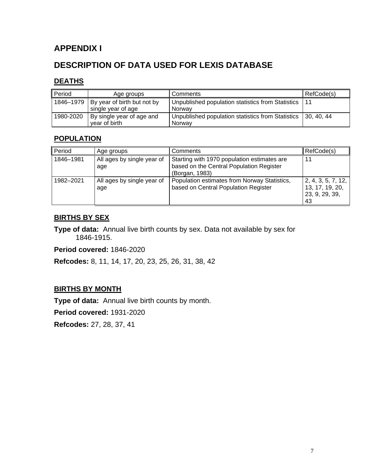## **APPENDIX I**

# **DESCRIPTION OF DATA USED FOR LEXIS DATABASE**

## **DEATHS**

| Period    | Age groups                                        | Comments                                                       | RefCode(s) |
|-----------|---------------------------------------------------|----------------------------------------------------------------|------------|
| 1846-1979 | By year of birth but not by<br>single year of age | Unpublished population statistics from Statistics 11<br>Norway |            |
| 1980-2020 | By single year of age and<br>year of birth        | Unpublished population statistics from Statistics<br>Norway    | 130.40.44  |

## **POPULATION**

| Period    | Age groups                        | Comments                                                                                                  | RefCode(s)                                                    |
|-----------|-----------------------------------|-----------------------------------------------------------------------------------------------------------|---------------------------------------------------------------|
| 1846-1981 | All ages by single year of<br>age | Starting with 1970 population estimates are<br>based on the Central Population Register<br>(Borgan, 1983) | 11                                                            |
| 1982-2021 | All ages by single year of<br>age | Population estimates from Norway Statistics,<br>based on Central Population Register                      | 2, 4, 3, 5, 7, 12,<br>13, 17, 19, 20,<br>23, 9, 29, 39,<br>43 |

### **BIRTHS BY SEX**

**Type of data:** Annual live birth counts by sex. Data not available by sex for 1846-1915.

**Period covered:** 1846-2020

**Refcodes:** 8, 11, 14, 17, 20, 23, 25, 26, 31, 38, 42

## **BIRTHS BY MONTH**

**Type of data:** Annual live birth counts by month.

**Period covered:** 1931-2020

**Refcodes:** 27, 28, 37, 41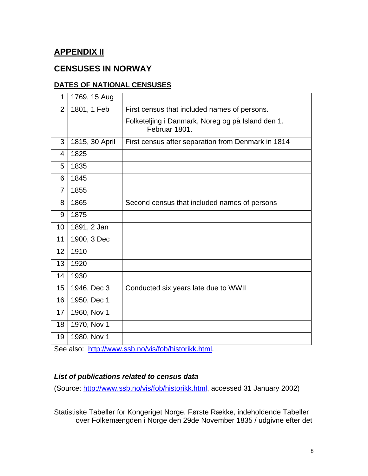## **APPENDIX II**

## **CENSUSES IN NORWAY**

### **DATES OF NATIONAL CENSUSES**

| $\mathbf 1$    | 1769, 15 Aug   |                                                                    |
|----------------|----------------|--------------------------------------------------------------------|
| $\overline{2}$ | 1801, 1 Feb    | First census that included names of persons.                       |
|                |                | Folketeljing i Danmark, Noreg og på Island den 1.<br>Februar 1801. |
| 3              | 1815, 30 April | First census after separation from Denmark in 1814                 |
| 4              | 1825           |                                                                    |
| 5              | 1835           |                                                                    |
| 6              | 1845           |                                                                    |
| 7              | 1855           |                                                                    |
| 8              | 1865           | Second census that included names of persons                       |
| 9              | 1875           |                                                                    |
| 10             | 1891, 2 Jan    |                                                                    |
| 11             | 1900, 3 Dec    |                                                                    |
| 12             | 1910           |                                                                    |
| 13             | 1920           |                                                                    |
| 14             | 1930           |                                                                    |
| 15             | 1946, Dec 3    | Conducted six years late due to WWII                               |
| 16             | 1950, Dec 1    |                                                                    |
| 17             | 1960, Nov 1    |                                                                    |
| 18             | 1970, Nov 1    |                                                                    |
| 19             | 1980, Nov 1    |                                                                    |

See also: [http://www.ssb.no/vis/fob/historikk.html.](http://www.ssb.no/vis/fob/historikk.html)

### *List of publications related to census data*

(Source: [http://www.ssb.no/vis/fob/historikk.html,](http://www.ssb.no/vis/fob/historikk.html) accessed 31 January 2002)

Statistiske Tabeller for Kongeriget Norge. Første Række, indeholdende Tabeller over Folkemængden i Norge den 29de November 1835 / udgivne efter det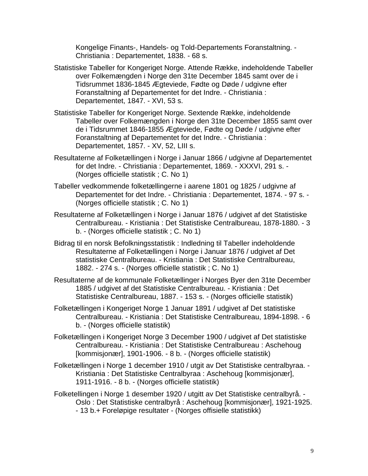Kongelige Finants-, Handels- og Told-Departements Foranstaltning. - Christiania : Departementet, 1838. - 68 s.

- Statistiske Tabeller for Kongeriget Norge. Attende Række, indeholdende Tabeller over Folkemængden i Norge den 31te December 1845 samt over de i Tidsrummet 1836-1845 Ægteviede, Fødte og Døde / udgivne efter Foranstaltning af Departementet for det Indre. - Christiania : Departementet, 1847. - XVI, 53 s.
- Statistiske Tabeller for Kongeriget Norge. Sextende Række, indeholdende Tabeller over Folkemængden i Norge den 31te December 1855 samt over de i Tidsrummet 1846-1855 Ægteviede, Fødte og Døde / udgivne efter Foranstaltning af Departementet for det Indre. - Christiania : Departementet, 1857. - XV, 52, LIII s.
- Resultaterne af Folketællingen i Norge i Januar 1866 / udgivne af Departementet for det Indre. - Christiania : Departementet, 1869. - XXXVI, 291 s. - (Norges officielle statistik ; C. No 1)
- Tabeller vedkommende folketællingerne i aarene 1801 og 1825 / udgivne af Departementet for det Indre. - Christiania : Departementet, 1874. - 97 s. - (Norges officielle statistik ; C. No 1)
- Resultaterne af Folketællingen i Norge i Januar 1876 / udgivet af det Statistiske Centralbureau. - Kristiania : Det Statistiske Centralbureau, 1878-1880. - 3 b. - (Norges officielle statistik ; C. No 1)
- Bidrag til en norsk Befolkningsstatistik : Indledning til Tabeller indeholdende Resultaterne af Folketællingen i Norge i Januar 1876 / udgivet af Det statistiske Centralbureau. - Kristiania : Det Statistiske Centralbureau, 1882. - 274 s. - (Norges officielle statistik ; C. No 1)
- Resultaterne af de kommunale Folketællinger i Norges Byer den 31te December 1885 / udgivet af det Statistiske Centralbureau. - Kristiania : Det Statistiske Centralbureau, 1887. - 153 s. - (Norges officielle statistik)
- Folketællingen i Kongeriget Norge 1 Januar 1891 / udgivet af Det statistiske Centralbureau. - Kristiania : Det Statistiske Centralbureau, 1894-1898. - 6 b. - (Norges officielle statistik)
- Folketællingen i Kongeriget Norge 3 December 1900 / udgivet af Det statistiske Centralbureau. - Kristiania : Det Statistiske Centralbureau : Aschehoug [kommisjonær], 1901-1906. - 8 b. - (Norges officielle statistik)
- Folketællingen i Norge 1 december 1910 / utgit av Det Statistiske centralbyraa. Kristiania : Det Statistiske Centralbyraa : Aschehoug [kommisjonær], 1911-1916. - 8 b. - (Norges officielle statistik)
- Folketellingen i Norge 1 desember 1920 / utgitt av Det Statistiske centralbyrå. Oslo : Det Statistiske centralbyrå : Aschehoug [kommisjonær], 1921-1925. - 13 b.+ Foreløpige resultater - (Norges offisielle statistikk)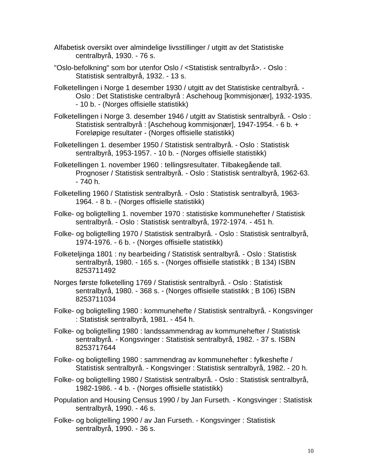- Alfabetisk oversikt over almindelige livsstillinger / utgitt av det Statistiske centralbyrå, 1930. - 76 s.
- "Oslo-befolkning" som bor utenfor Oslo / <Statistisk sentralbyrå>. Oslo : Statistisk sentralbyrå, 1932. - 13 s.
- Folketellingen i Norge 1 desember 1930 / utgitt av det Statistiske centralbyrå. Oslo : Det Statistiske centralbyrå : Aschehoug [kommisjonær], 1932-1935. - 10 b. - (Norges offisielle statistikk)
- Folketellingen i Norge 3. desember 1946 / utgitt av Statistisk sentralbyrå. Oslo : Statistisk sentralbyrå : [Aschehoug kommisjonær], 1947-1954. - 6 b. + Foreløpige resultater - (Norges offisielle statistikk)
- Folketellingen 1. desember 1950 / Statistisk sentralbyrå. Oslo : Statistisk sentralbyrå, 1953-1957. - 10 b. - (Norges offisielle statistikk)
- Folketellingen 1. november 1960 : tellingsresultater. Tilbakegående tall. Prognoser / Statistisk sentralbyrå. - Oslo : Statistisk sentralbyrå, 1962-63. - 740 h.
- Folketelling 1960 / Statistisk sentralbyrå. Oslo : Statistisk sentralbyrå, 1963- 1964. - 8 b. - (Norges offisielle statistikk)
- Folke- og boligtelling 1. november 1970 : statistiske kommunehefter / Statistisk sentralbyrå. - Oslo : Statistisk sentralbyrå, 1972-1974. - 451 h.
- Folke- og boligtelling 1970 / Statistisk sentralbyrå. Oslo : Statistisk sentralbyrå, 1974-1976. - 6 b. - (Norges offisielle statistikk)
- Folketeljinga 1801 : ny bearbeiding / Statistisk sentralbyrå. Oslo : Statistisk sentralbyrå, 1980. - 165 s. - (Norges offisielle statistikk ; B 134) ISBN 8253711492
- Norges første folketelling 1769 / Statistisk sentralbyrå. Oslo : Statistisk sentralbyrå, 1980. - 368 s. - (Norges offisielle statistikk ; B 106) ISBN 8253711034
- Folke- og boligtelling 1980 : kommunehefte / Statistisk sentralbyrå. Kongsvinger : Statistisk sentralbyrå, 1981. - 454 h.
- Folke- og boligtelling 1980 : landssammendrag av kommunehefter / Statistisk sentralbyrå. - Kongsvinger : Statistisk sentralbyrå, 1982. - 37 s. ISBN 8253717644
- Folke- og boligtelling 1980 : sammendrag av kommunehefter : fylkeshefte / Statistisk sentralbyrå. - Kongsvinger : Statistisk sentralbyrå, 1982. - 20 h.
- Folke- og boligtelling 1980 / Statistisk sentralbyrå. Oslo : Statistisk sentralbyrå, 1982-1986. - 4 b. - (Norges offisielle statistikk)
- Population and Housing Census 1990 / by Jan Furseth. Kongsvinger : Statistisk sentralbyrå, 1990. - 46 s.
- Folke- og boligtelling 1990 / av Jan Furseth. Kongsvinger : Statistisk sentralbyrå, 1990. - 36 s.